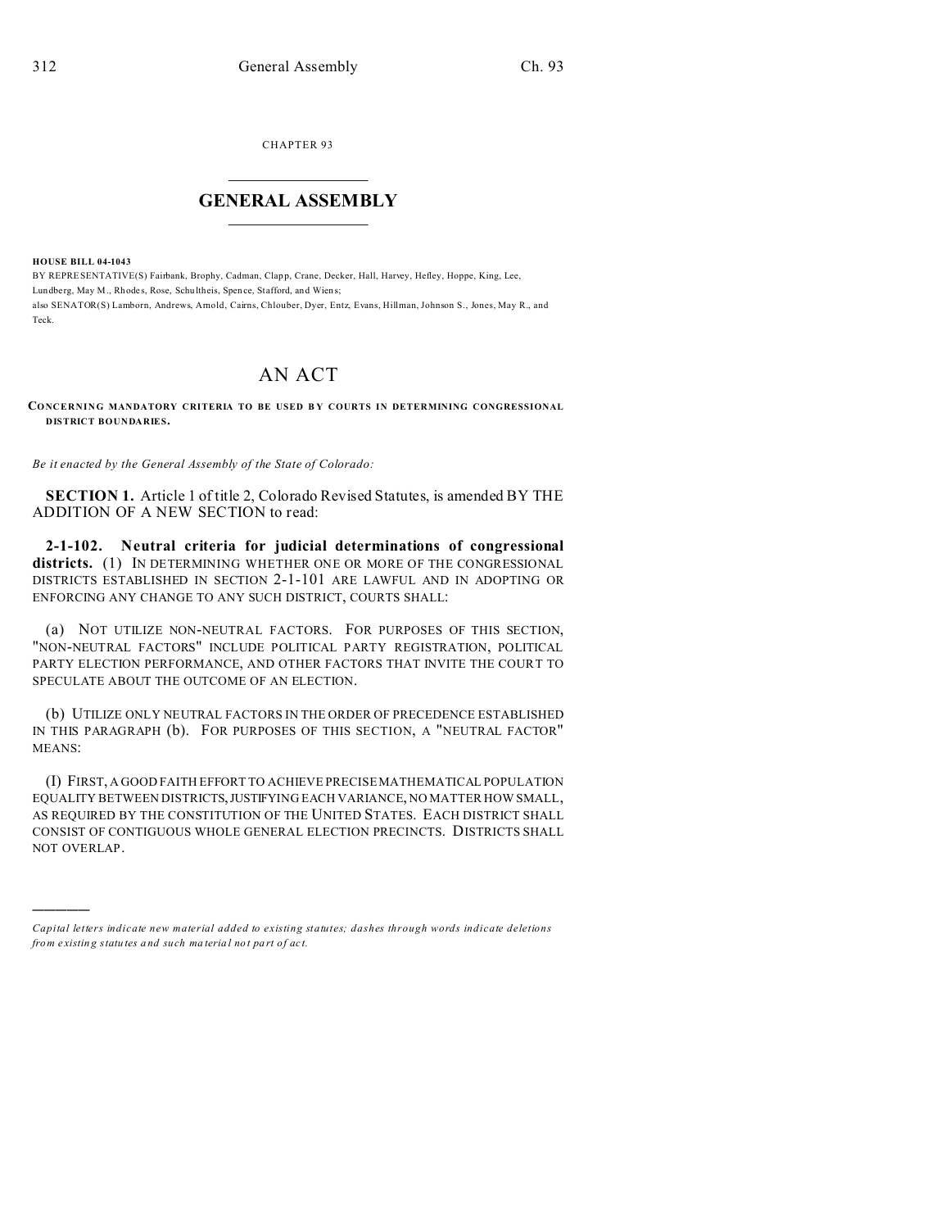**CHAPTER 93** 

## **GENERAL ASSEMBLY**

**HOUSE BILL 04-1043** 

BY REPRESENTATIVE(S) Fairbank, Brophy, Cadman, Clapp, Crane, Decker, Hall, Harvey, Hefley, Hoppe, King, Lee, Lundberg, May M., Rhodes, Rose, Schultheis, Spence, Stafford, and Wiens; also SENATOR(S) Lamborn, Andrews, Arnold, Cairns, Chlouber, Dyer, Entz, Evans, Hillman, Johnson S., Jones, May R., and Teck.

## AN ACT

CONCERNING MANDATORY CRITERIA TO BE USED BY COURTS IN DETERMINING CONGRESSIONAL **DISTRICT BOUNDARIES.** 

Be it enacted by the General Assembly of the State of Colorado:

SECTION 1. Article 1 of title 2, Colorado Revised Statutes, is amended BY THE ADDITION OF A NEW SECTION to read:

2-1-102. Neutral criteria for judicial determinations of congressional districts. (1) IN DETERMINING WHETHER ONE OR MORE OF THE CONGRESSIONAL DISTRICTS ESTABLISHED IN SECTION 2-1-101 ARE LAWFUL AND IN ADOPTING OR ENFORCING ANY CHANGE TO ANY SUCH DISTRICT, COURTS SHALL:

(a) NOT UTILIZE NON-NEUTRAL FACTORS. FOR PURPOSES OF THIS SECTION, "NON-NEUTRAL FACTORS" INCLUDE POLITICAL PARTY REGISTRATION, POLITICAL PARTY ELECTION PERFORMANCE, AND OTHER FACTORS THAT INVITE THE COURT TO SPECULATE ABOUT THE OUTCOME OF AN ELECTION.

(b) UTILIZE ONLY NEUTRAL FACTORS IN THE ORDER OF PRECEDENCE ESTABLISHED IN THIS PARAGRAPH (b). FOR PURPOSES OF THIS SECTION, A "NEUTRAL FACTOR" MEANS:

(I) FIRST, A GOOD FAITH EFFORT TO ACHIEVE PRECISEMATHEMATICAL POPULATION EQUALITY BETWEEN DISTRICTS, JUSTIFYING EACH VARIANCE, NO MATTER HOW SMALL, AS REQUIRED BY THE CONSTITUTION OF THE UNITED STATES. EACH DISTRICT SHALL CONSIST OF CONTIGUOUS WHOLE GENERAL ELECTION PRECINCTS. DISTRICTS SHALL NOT OVERLAP.

Capital letters indicate new material added to existing statutes; dashes through words indicate deletions from existing statutes and such material not part of act.